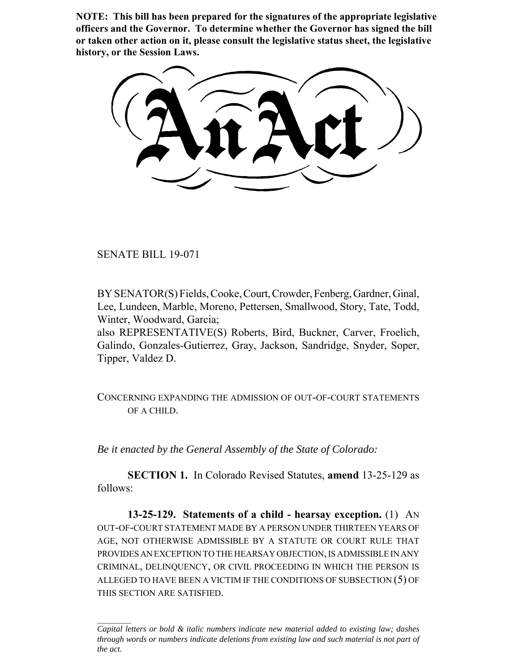**NOTE: This bill has been prepared for the signatures of the appropriate legislative officers and the Governor. To determine whether the Governor has signed the bill or taken other action on it, please consult the legislative status sheet, the legislative history, or the Session Laws.**

SENATE BILL 19-071

BY SENATOR(S) Fields, Cooke, Court, Crowder, Fenberg, Gardner, Ginal, Lee, Lundeen, Marble, Moreno, Pettersen, Smallwood, Story, Tate, Todd, Winter, Woodward, Garcia;

also REPRESENTATIVE(S) Roberts, Bird, Buckner, Carver, Froelich, Galindo, Gonzales-Gutierrez, Gray, Jackson, Sandridge, Snyder, Soper, Tipper, Valdez D.

CONCERNING EXPANDING THE ADMISSION OF OUT-OF-COURT STATEMENTS OF A CHILD.

*Be it enacted by the General Assembly of the State of Colorado:*

**SECTION 1.** In Colorado Revised Statutes, **amend** 13-25-129 as follows:

**13-25-129. Statements of a child - hearsay exception.** (1) AN OUT-OF-COURT STATEMENT MADE BY A PERSON UNDER THIRTEEN YEARS OF AGE, NOT OTHERWISE ADMISSIBLE BY A STATUTE OR COURT RULE THAT PROVIDES AN EXCEPTION TO THE HEARSAY OBJECTION, IS ADMISSIBLE IN ANY CRIMINAL, DELINQUENCY, OR CIVIL PROCEEDING IN WHICH THE PERSON IS ALLEGED TO HAVE BEEN A VICTIM IF THE CONDITIONS OF SUBSECTION (5) OF THIS SECTION ARE SATISFIED.

*Capital letters or bold & italic numbers indicate new material added to existing law; dashes through words or numbers indicate deletions from existing law and such material is not part of the act.*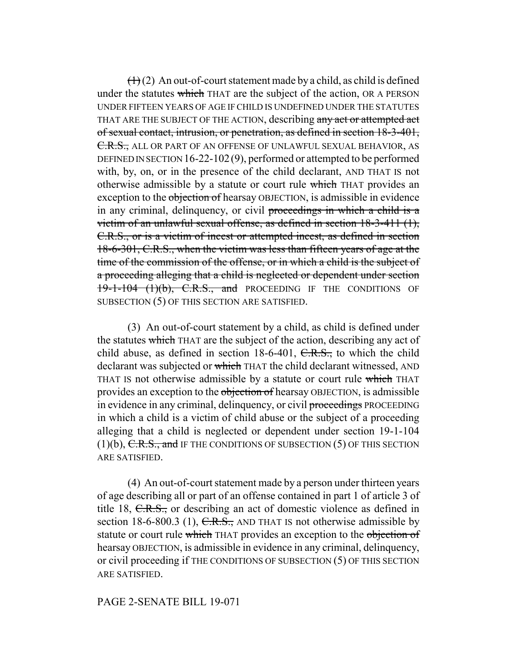$(1)(2)$  An out-of-court statement made by a child, as child is defined under the statutes which THAT are the subject of the action, OR A PERSON UNDER FIFTEEN YEARS OF AGE IF CHILD IS UNDEFINED UNDER THE STATUTES THAT ARE THE SUBJECT OF THE ACTION, describing any act or attempted act of sexual contact, intrusion, or penetration, as defined in section 18-3-401, C.R.S., ALL OR PART OF AN OFFENSE OF UNLAWFUL SEXUAL BEHAVIOR, AS DEFINED IN SECTION 16-22-102(9), performed or attempted to be performed with, by, on, or in the presence of the child declarant, AND THAT IS not otherwise admissible by a statute or court rule which THAT provides an exception to the objection of hearsay OBJECTION, is admissible in evidence in any criminal, delinquency, or civil proceedings in which a child is a victim of an unlawful sexual offense, as defined in section 18-3-411 (1), C.R.S., or is a victim of incest or attempted incest, as defined in section 18-6-301, C.R.S., when the victim was less than fifteen years of age at the time of the commission of the offense, or in which a child is the subject of a proceeding alleging that a child is neglected or dependent under section  $19-1-104$   $(1)(b)$ , C.R.S., and PROCEEDING IF THE CONDITIONS OF SUBSECTION (5) OF THIS SECTION ARE SATISFIED.

(3) An out-of-court statement by a child, as child is defined under the statutes which THAT are the subject of the action, describing any act of child abuse, as defined in section  $18-6-401$ ,  $C.R.S.,$  to which the child declarant was subjected or which THAT the child declarant witnessed, AND THAT IS not otherwise admissible by a statute or court rule which THAT provides an exception to the objection of hearsay OBJECTION, is admissible in evidence in any criminal, delinquency, or civil proceedings PROCEEDING in which a child is a victim of child abuse or the subject of a proceeding alleging that a child is neglected or dependent under section 19-1-104  $(1)(b)$ , C.R.S., and IF THE CONDITIONS OF SUBSECTION  $(5)$  OF THIS SECTION ARE SATISFIED.

(4) An out-of-court statement made by a person under thirteen years of age describing all or part of an offense contained in part 1 of article 3 of title 18, C.R.S., or describing an act of domestic violence as defined in section 18-6-800.3 (1),  $C.R.S.,$  AND THAT IS not otherwise admissible by statute or court rule which THAT provides an exception to the objection of hearsay OBJECTION, is admissible in evidence in any criminal, delinquency, or civil proceeding if THE CONDITIONS OF SUBSECTION (5) OF THIS SECTION ARE SATISFIED.

## PAGE 2-SENATE BILL 19-071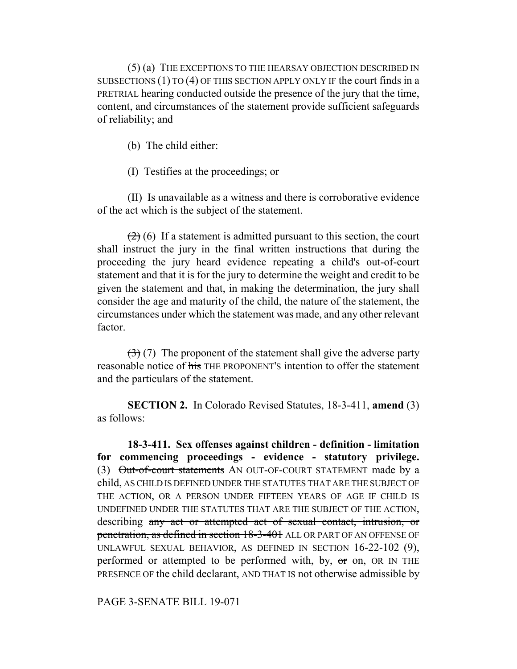(5) (a) THE EXCEPTIONS TO THE HEARSAY OBJECTION DESCRIBED IN SUBSECTIONS (1) TO (4) OF THIS SECTION APPLY ONLY IF the court finds in a PRETRIAL hearing conducted outside the presence of the jury that the time, content, and circumstances of the statement provide sufficient safeguards of reliability; and

(b) The child either:

(I) Testifies at the proceedings; or

(II) Is unavailable as a witness and there is corroborative evidence of the act which is the subject of the statement.

 $(2)$  (6) If a statement is admitted pursuant to this section, the court shall instruct the jury in the final written instructions that during the proceeding the jury heard evidence repeating a child's out-of-court statement and that it is for the jury to determine the weight and credit to be given the statement and that, in making the determination, the jury shall consider the age and maturity of the child, the nature of the statement, the circumstances under which the statement was made, and any other relevant factor.

 $(3)(7)$  The proponent of the statement shall give the adverse party reasonable notice of his THE PROPONENT'S intention to offer the statement and the particulars of the statement.

**SECTION 2.** In Colorado Revised Statutes, 18-3-411, **amend** (3) as follows:

**18-3-411. Sex offenses against children - definition - limitation for commencing proceedings - evidence - statutory privilege.** (3) Out-of-court statements AN OUT-OF-COURT STATEMENT made by a child, AS CHILD IS DEFINED UNDER THE STATUTES THAT ARE THE SUBJECT OF THE ACTION, OR A PERSON UNDER FIFTEEN YEARS OF AGE IF CHILD IS UNDEFINED UNDER THE STATUTES THAT ARE THE SUBJECT OF THE ACTION, describing any act or attempted act of sexual contact, intrusion, or penetration, as defined in section 18-3-401 ALL OR PART OF AN OFFENSE OF UNLAWFUL SEXUAL BEHAVIOR, AS DEFINED IN SECTION 16-22-102 (9), performed or attempted to be performed with, by,  $\sigma$  on, OR IN THE PRESENCE OF the child declarant, AND THAT IS not otherwise admissible by

PAGE 3-SENATE BILL 19-071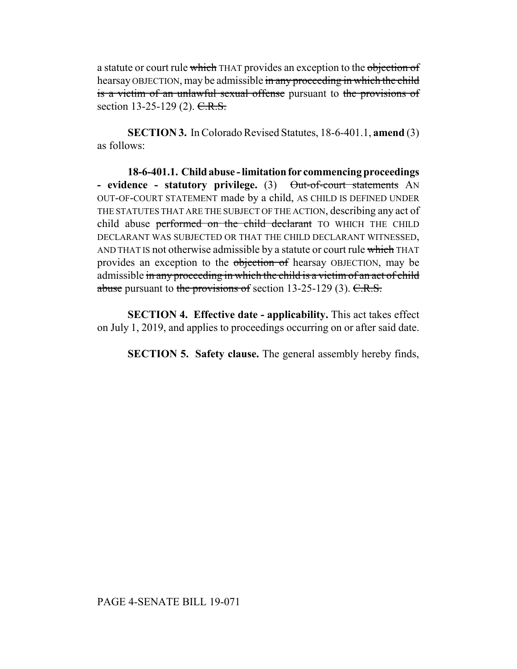a statute or court rule which THAT provides an exception to the objection of hearsay OBJECTION, may be admissible in any proceeding in which the child is a victim of an unlawful sexual offense pursuant to the provisions of section 13-25-129 (2). C.R.S.

**SECTION 3.** In Colorado Revised Statutes, 18-6-401.1, **amend** (3) as follows:

**18-6-401.1. Child abuse - limitation for commencing proceedings** - evidence - statutory privilege. (3) Out-of-court statements AN OUT-OF-COURT STATEMENT made by a child, AS CHILD IS DEFINED UNDER THE STATUTES THAT ARE THE SUBJECT OF THE ACTION, describing any act of child abuse performed on the child declarant TO WHICH THE CHILD DECLARANT WAS SUBJECTED OR THAT THE CHILD DECLARANT WITNESSED, AND THAT IS not otherwise admissible by a statute or court rule which THAT provides an exception to the objection of hearsay OBJECTION, may be admissible in any proceeding in which the child is a victim of an act of child abuse pursuant to the provisions of section  $13-25-129$  (3). C.R.S.

**SECTION 4. Effective date - applicability.** This act takes effect on July 1, 2019, and applies to proceedings occurring on or after said date.

**SECTION 5. Safety clause.** The general assembly hereby finds,